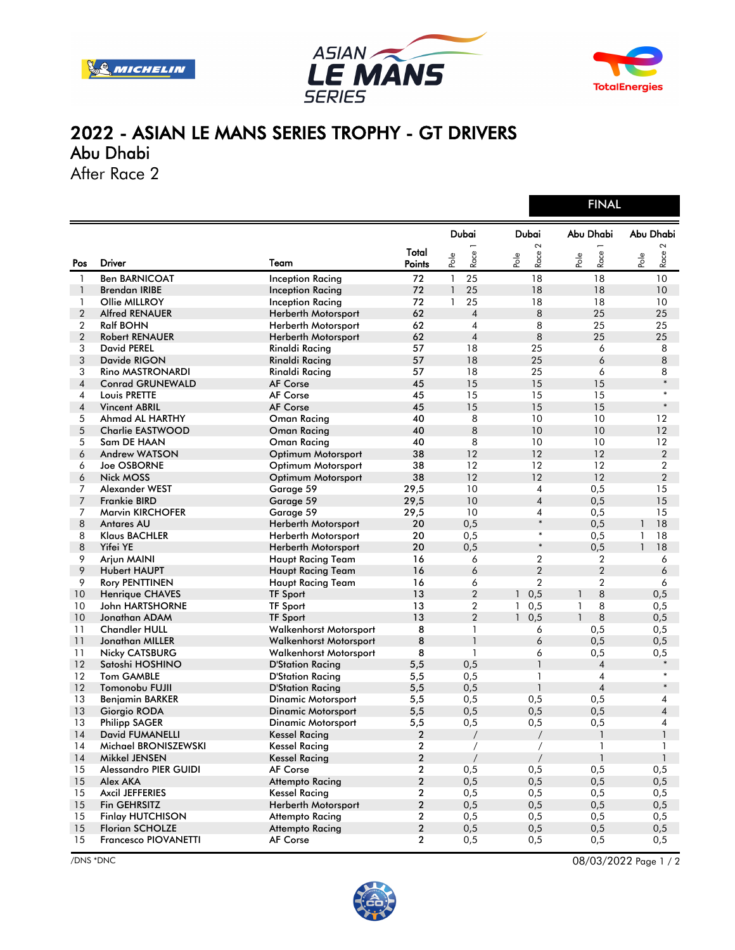





## 2022 - ASIAN LE MANS SERIES TROPHY - GT DRIVERS Abu Dhabi

After Race 2

|                |                              |                               |                 |                    | <b>FINAL</b>           |                   |                        |  |
|----------------|------------------------------|-------------------------------|-----------------|--------------------|------------------------|-------------------|------------------------|--|
|                |                              |                               |                 | <b>Dubai</b>       | Dubai                  | Abu Dhabi         | Abu Dhabi              |  |
| Pos            | <b>Driver</b>                | Team                          | Total<br>Points | Race<br>Pole       | $\sim$<br>Race<br>Pole | Race<br>Pole      | $\sim$<br>Race<br>Pole |  |
| 1              | <b>Ben BARNICOAT</b>         | <b>Inception Racing</b>       | 72              | 25<br>$\mathbf{1}$ | 18                     | 18                | 10                     |  |
| $\mathbf{1}$   | <b>Brendan IRIBE</b>         | Inception Racing              | 72              | $\mathbf{1}$<br>25 | 18                     | 18                | 10                     |  |
| 1              | Ollie MILLROY                | Inception Racing              | 72              | 25<br>$\mathbf{1}$ | 18                     | 18                | 10                     |  |
| $\overline{2}$ | <b>Alfred RENAUER</b>        | Herberth Motorsport           | 62              | $\overline{4}$     | 8                      | 25                | 25                     |  |
| $\overline{2}$ | <b>Ralf BOHN</b>             | Herberth Motorsport           | 62              | 4                  | 8                      | 25                | 25                     |  |
| $\overline{2}$ | <b>Robert RENAUER</b>        | Herberth Motorsport           | 62              | $\overline{4}$     | 8                      | 25                | 25                     |  |
| 3              | <b>David PEREL</b>           | Rinaldi Racing                | 57              | 18                 | 25                     | 6                 | 8                      |  |
| 3              | Davide RIGON                 | Rinaldi Racing                | 57              | 18                 | 25                     | 6                 | 8                      |  |
| 3              | Rino MASTRONARDI             | Rinaldi Racing                | 57              | 18                 | 25                     | 6                 | 8                      |  |
| 4              | <b>Conrad GRUNEWALD</b>      | <b>AF Corse</b>               | 45              | 15                 | 15                     | 15                | $\ast$                 |  |
| 4              | Louis PRETTE                 | AF Corse                      | 45              | 15                 | 15                     | 15                | $\ast$                 |  |
| 4              | <b>Vincent ABRIL</b>         | <b>AF Corse</b>               | 45              | 15                 | 15                     | 15                | $\ast$                 |  |
| 5              | Ahmad AL HARTHY              | <b>Oman Racing</b>            | 40              | 8                  | 10                     | 10                | 12                     |  |
| 5              | <b>Charlie EASTWOOD</b>      | <b>Oman Racing</b>            | 40              | 8                  | 10                     | 10                | 12                     |  |
| 5              | Sam DE HAAN                  | Oman Racing                   | 40              | 8                  | 10                     | 10                | 12                     |  |
| 6              | Andrew WATSON                | Optimum Motorsport            | 38              | 12                 | 12                     | 12                | $\overline{2}$         |  |
| 6              | <b>Joe OSBORNE</b>           | Optimum Motorsport            | 38              | 12                 | 12                     | 12                | $\overline{2}$         |  |
| 6              | <b>Nick MOSS</b>             | Optimum Motorsport            | 38              | 12                 | 12                     | 12                | $\overline{2}$         |  |
| 7              | Alexander WEST               | Garage 59                     | 29,5            | 10                 | 4                      | 0,5               | 15                     |  |
| 7              | <b>Frankie BIRD</b>          | Garage 59                     | 29,5            | 10                 | $\overline{4}$         | 0,5               | 15                     |  |
| 7              | <b>Marvin KIRCHOFER</b>      | Garage 59                     | 29,5            | 10                 | 4                      | 0,5               | 15                     |  |
| 8              | <b>Antares AU</b>            | Herberth Motorsport           | 20              | 0,5                | $\ast$                 | 0,5               | 18<br>1                |  |
| 8              | Klaus BACHLER                | Herberth Motorsport           | 20              | 0,5                | $\ast$                 | 0,5               | 18<br>1                |  |
| 8              | Yifei YE                     | Herberth Motorsport           | 20              | 0,5                | $\ast$                 | 0,5               | 18<br>$\mathbf{1}$     |  |
| 9              | Arjun MAINI                  | <b>Haupt Racing Team</b>      | 16              | 6                  | $\overline{2}$         | 2                 | 6                      |  |
| 9              | <b>Hubert HAUPT</b>          | Haupt Racing Team             | 16              | 6                  | $\overline{2}$         | $\overline{2}$    | 6                      |  |
| 9              | <b>Rory PENTTINEN</b>        | <b>Haupt Racing Team</b>      | 16              | 6                  | $\overline{2}$         | $\overline{2}$    | 6                      |  |
| 10             | <b>Henrique CHAVES</b>       | <b>TF Sport</b>               | 13              | $\overline{2}$     | 0,5<br>$\mathbf{1}$    | 8<br>1            | 0,5                    |  |
| 10             | John HARTSHORNE              | <b>TF Sport</b>               | 13              | $\overline{2}$     | 0,5<br>$\mathbf{1}$    | 8<br>1            | 0,5                    |  |
| 10             | Jonathan ADAM                | <b>TF Sport</b>               | 13              | $\overline{2}$     | $\mathbf{1}$<br>0,5    | 8<br>$\mathbf{1}$ | 0,5                    |  |
| 11             | <b>Chandler HULL</b>         | <b>Walkenhorst Motorsport</b> | 8               | 1                  | 6                      | 0,5               | 0,5                    |  |
| 11             | Jonathan MILLER              | Walkenhorst Motorsport        | 8               | $\mathbf{1}$       | 6                      | 0,5               | 0,5                    |  |
| 11             | <b>Nicky CATSBURG</b>        | Walkenhorst Motorsport        | 8               | 1                  | 6                      | 0,5               | 0,5                    |  |
| 12             | Satoshi HOSHINO              | <b>D'Station Racing</b>       | 5,5             | 0,5                | $\mathbf{1}$           | 4                 | $\ast$                 |  |
| 12             | <b>Tom GAMBLE</b>            | <b>D'Station Racing</b>       | 5,5             | 0,5                | 1                      | 4                 |                        |  |
| 12             | Tomonobu FUJII               | <b>D'Station Racing</b>       | 5,5             | 0,5                | $\mathbf{1}$           | $\overline{4}$    | $\ast$                 |  |
| 13             | <b>Benjamin BARKER</b>       | <b>Dinamic Motorsport</b>     | 5,5             | 0,5                | 0,5                    | 0,5               | 4                      |  |
| 13             | Giorgio RODA                 | Dinamic Motorsport            | 5,5             | 0,5                | 0,5                    | 0,5               | $\overline{4}$         |  |
| 13             | <b>Philipp SAGER</b>         | Dinamic Motorsport            | 5,5             | 0,5                | 0,5                    | 0,5               | 4                      |  |
| 14             | <b>David FUMANELLI</b>       | Kessel Racing                 | 2               | $\sqrt{2}$         | $\sqrt{2}$             | 1                 | 1                      |  |
| 14             | Michael BRONISZEWSKI         | <b>Kessel Racing</b>          | $\mathbf{2}$    | $\overline{1}$     | $\overline{1}$         | 1                 | 1                      |  |
| 14             | Mikkel JENSEN                | <b>Kessel Racing</b>          | $\overline{2}$  |                    | $\sqrt{2}$             | $\mathbf{1}$      | $\mathbf{1}$           |  |
| 15             | <b>Alessandro PIER GUIDI</b> | AF Corse                      | $\mathbf{2}$    | 0,5                | 0,5                    | 0,5               | 0,5                    |  |
| 15             | Alex AKA                     | <b>Attempto Racing</b>        | $\overline{2}$  | 0,5                | 0,5                    | 0,5               | 0,5                    |  |
| 15             | Axcil JEFFERIES              | <b>Kessel Racing</b>          | $\mathbf{2}$    | 0,5                | 0,5                    | 0,5               | 0,5                    |  |
| 15             | Fin GEHRSITZ                 | Herberth Motorsport           | $\overline{2}$  | 0,5                | 0,5                    | 0,5               | 0,5                    |  |
| 15             | <b>Finlay HUTCHISON</b>      | <b>Attempto Racing</b>        | $\mathbf{2}$    | 0,5                | 0,5                    | 0,5               | 0,5                    |  |
| $15\,$         | <b>Florian SCHOLZE</b>       | <b>Attempto Racing</b>        | $\mathbf{2}$    | 0,5                | 0,5                    | 0, 5              | 0,5                    |  |
| 15             | Francesco PIOVANETTI         | AF Corse                      | $\mathbf{2}$    | 0,5                | 0,5                    | 0,5               | 0,5                    |  |
|                |                              |                               |                 |                    |                        |                   |                        |  |



/DNS \*DNC 08/03/2022 Page 1 / 2